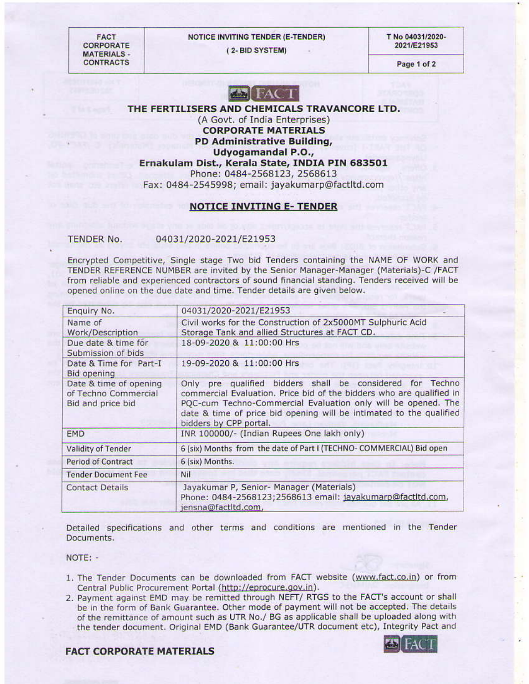**FACT CORPORATE MATERIALS-CONTRACTS** 

#### **NOTICE INVITING TENDER (E-TENDER)**

(2-BID SYSTEM)

T No 04031/2020-2021/E21953

Page 1 of 2



# THE FERTILISERS AND CHEMICALS TRAVANCORE LTD. (A Govt. of India Enterprises) **CORPORATE MATERIALS** PD Administrative Building, Udyogamandal P.O., Ernakulam Dist., Kerala State, INDIA PIN 683501 Phone: 0484-2568123, 2568613 Fax: 0484-2545998; email: jayakumarp@factltd.com

## **NOTICE INVITING E- TENDER**

TENDER No. 04031/2020-2021/E21953

Encrypted Competitive, Single stage Two bid Tenders containing the NAME OF WORK and TENDER REFERENCE NUMBER are invited by the Senior Manager-Manager (Materials)-C /FACT from reliable and experienced contractors of sound financial standing. Tenders received will be opened online on the due date and time. Tender details are given below.

| Enquiry No.                                                         | 04031/2020-2021/E21953                                                                                                                                                                                                                                                                                    |
|---------------------------------------------------------------------|-----------------------------------------------------------------------------------------------------------------------------------------------------------------------------------------------------------------------------------------------------------------------------------------------------------|
| Name of<br>Work/Description                                         | Civil works for the Construction of 2x5000MT Sulphuric Acid<br>Storage Tank and allied Structures at FACT CD.                                                                                                                                                                                             |
| Due date & time for<br>Submission of bids                           | 18-09-2020 & 11:00:00 Hrs                                                                                                                                                                                                                                                                                 |
| Date & Time for Part-I<br><b>Bid opening</b>                        | 19-09-2020 & 11:00:00 Hrs                                                                                                                                                                                                                                                                                 |
| Date & time of opening<br>of Techno Commercial<br>Bid and price bid | Only pre qualified bidders shall be considered<br>Techno<br>for<br>commercial Evaluation. Price bid of the bidders who are qualified in<br>PQC-cum Techno-Commercial Evaluation only will be opened. The<br>date & time of price bid opening will be intimated to the qualified<br>bidders by CPP portal. |
| <b>EMD</b>                                                          | INR 100000/- (Indian Rupees One lakh only)                                                                                                                                                                                                                                                                |
| <b>Validity of Tender</b>                                           | 6 (six) Months from the date of Part I (TECHNO- COMMERCIAL) Bid open                                                                                                                                                                                                                                      |
| <b>Period of Contract</b>                                           | 6 (six) Months.                                                                                                                                                                                                                                                                                           |
| <b>Tender Document Fee</b>                                          | Nil                                                                                                                                                                                                                                                                                                       |
| <b>Contact Details</b>                                              | Jayakumar P, Senior- Manager (Materials)<br>Phone: 0484-2568123;2568613 email: jayakumarp@factltd.com,<br>jensna@factltd.com,                                                                                                                                                                             |

Detailed specifications and other terms and conditions are mentioned in the Tender Documents.

#### NOTE: -

- 1. The Tender Documents can be downloaded from FACT website (www.fact.co.in) or from Central Public Procurement Portal (http://eprocure.gov.in).
- 2. Payment against EMD may be remitted through NEFT/ RTGS to the FACT's account or shall be in the form of Bank Guarantee. Other mode of payment will not be accepted. The details of the remittance of amount such as UTR No./ BG as applicable shall be uploaded along with the tender document. Original EMD (Bank Guarantee/UTR document etc), Integrity Pact and



**FACT CORPORATE MATERIALS**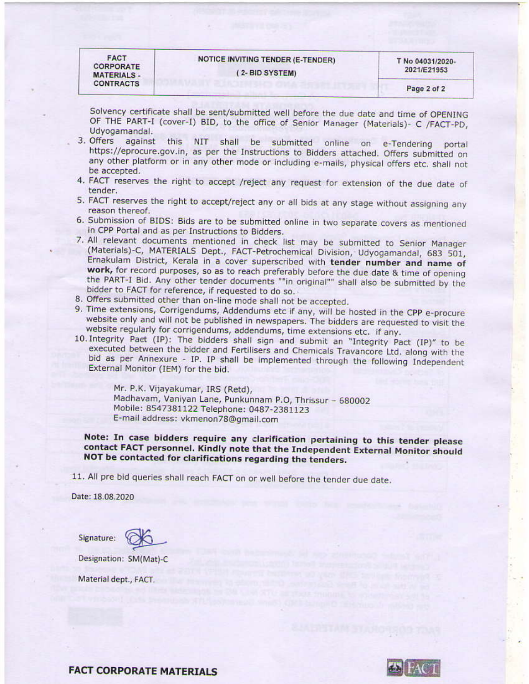**FACT CORPORATE MATERIALS-CONTRACTS** 

# **NOTICE INVITING TENDER (E-TENDER)** (2-BID SYSTEM)

T No 04031/2020-2021/E21953

Page 2 of 2

Solvency certificate shall be sent/submitted well before the due date and time of OPENING OF THE PART-I (cover-I) BID, to the office of Senior Manager (Materials)- C /FACT-PD, Udyogamandal.

- 3. Offers against this NIT shall be submitted online on e-Tendering portal https://eprocure.gov.in, as per the Instructions to Bidders attached. Offers submitted on any other platform or in any other mode or including e-mails, physical offers etc. shall not be accepted.
- 4. FACT reserves the right to accept /reject any request for extension of the due date of tender.
- 5. FACT reserves the right to accept/reject any or all bids at any stage without assigning any reason thereof.
- 6. Submission of BIDS: Bids are to be submitted online in two separate covers as mentioned in CPP Portal and as per Instructions to Bidders.
- 7. All relevant documents mentioned in check list may be submitted to Senior Manager (Materials)-C, MATERIALS Dept., FACT-Petrochemical Division, Udyogamandal, 683 501, Ernakulam District, Kerala in a cover superscribed with tender number and name of work, for record purposes, so as to reach preferably before the due date & time of opening the PART-I Bid. Any other tender documents ""in original"" shall also be submitted by the bidder to FACT for reference, if requested to do so.
- 8. Offers submitted other than on-line mode shall not be accepted.

9. Time extensions, Corrigendums, Addendums etc if any, will be hosted in the CPP e-procure website only and will not be published in newspapers. The bidders are requested to visit the website regularly for corrigendums, addendums, time extensions etc. if any.

10. Integrity Pact (IP): The bidders shall sign and submit an "Integrity Pact (IP)" to be executed between the bidder and Fertilisers and Chemicals Travancore Ltd. along with the bid as per Annexure - IP. IP shall be implemented through the following Independent External Monitor (IEM) for the bid.

Mr. P.K. Vijayakumar, IRS (Retd), Madhavam, Vaniyan Lane, Punkunnam P.O, Thrissur - 680002 Mobile: 8547381122 Telephone: 0487-2381123 E-mail address: vkmenon78@gmail.com

Note: In case bidders require any clarification pertaining to this tender please contact FACT personnel. Kindly note that the Independent External Monitor should NOT be contacted for clarifications regarding the tenders.

11. All pre bid queries shall reach FACT on or well before the tender due date.

Date: 18.08.2020

Signature:



Designation: SM(Mat)-C

Material dept., FACT.

**FACT CORPORATE MATERIALS**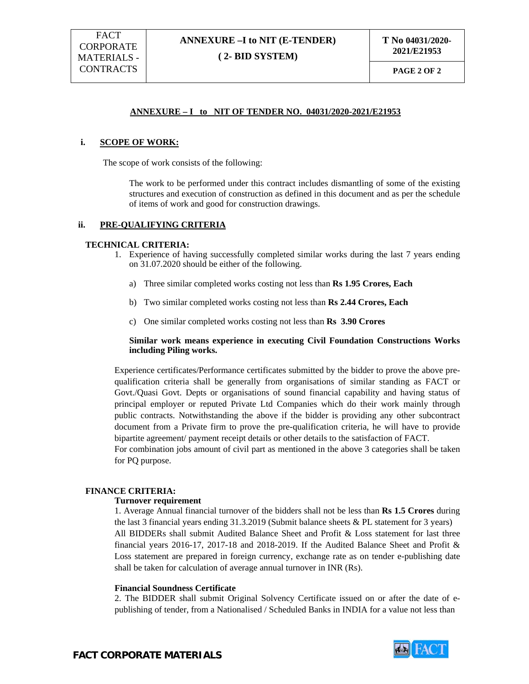# **ANNEXURE – I to NIT OF TENDER NO. 04031/2020-2021/E21953**

## **i. SCOPE OF WORK:**

The scope of work consists of the following:

The work to be performed under this contract includes dismantling of some of the existing structures and execution of construction as defined in this document and as per the schedule of items of work and good for construction drawings.

# **ii. PRE-QUALIFYING CRITERIA**

### **TECHNICAL CRITERIA:**

- 1. Experience of having successfully completed similar works during the last 7 years ending on 31.07.2020 should be either of the following.
	- a) Three similar completed works costing not less than **Rs 1.95 Crores, Each**
	- b) Two similar completed works costing not less than **Rs 2.44 Crores, Each**
	- c) One similar completed works costing not less than **Rs 3.90 Crores**

### **Similar work means experience in executing Civil Foundation Constructions Works including Piling works.**

Experience certificates/Performance certificates submitted by the bidder to prove the above prequalification criteria shall be generally from organisations of similar standing as FACT or Govt./Quasi Govt. Depts or organisations of sound financial capability and having status of principal employer or reputed Private Ltd Companies which do their work mainly through public contracts. Notwithstanding the above if the bidder is providing any other subcontract document from a Private firm to prove the pre-qualification criteria, he will have to provide bipartite agreement/ payment receipt details or other details to the satisfaction of FACT.

For combination jobs amount of civil part as mentioned in the above 3 categories shall be taken for PQ purpose.

## **FINANCE CRITERIA:**

### **Turnover requirement**

1. Average Annual financial turnover of the bidders shall not be less than **Rs 1.5 Crores** during the last 3 financial years ending 31.3.2019 (Submit balance sheets & PL statement for 3 years) All BIDDERs shall submit Audited Balance Sheet and Profit & Loss statement for last three financial years 2016-17, 2017-18 and 2018-2019. If the Audited Balance Sheet and Profit & Loss statement are prepared in foreign currency, exchange rate as on tender e-publishing date shall be taken for calculation of average annual turnover in INR (Rs).

### **Financial Soundness Certificate**

2. The BIDDER shall submit Original Solvency Certificate issued on or after the date of epublishing of tender, from a Nationalised / Scheduled Banks in INDIA for a value not less than